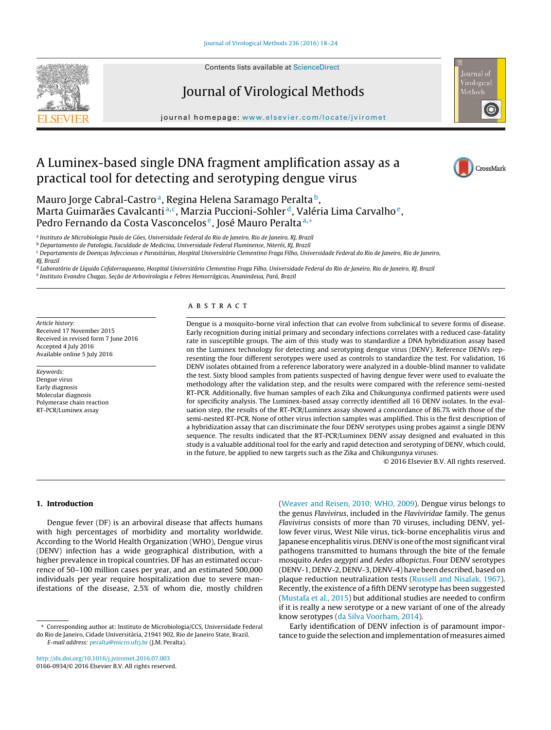

Contents lists available at [ScienceDirect](http://www.sciencedirect.com/science/journal/01660934)

# Journal of Virological Methods

journal homepage: [www.elsevier.com/locate/jviromet](http://www.elsevier.com/locate/jviromet)



CrossMark

# A Luminex-based single DNA fragment amplification assay as a practical tool for detecting and serotyping dengue virus

Mauro Jorge Cabral-Castro<sup>a</sup>, Regina Helena Saramago Peralta<sup>b</sup>, Marta Guimarães Cavalcanti<sup>a, c</sup>, Marzia Puccioni-Sohler<sup>d</sup>, Valéria Lima Carvalho<sup>e</sup>, Pedro Fernando da Costa Vasconcelos<sup>e</sup>, José Mauro Peralta<sup>a,\*</sup>

<sup>a</sup> Instituto de Microbiologia Paulo de Góes, Universidade Federal do Rio de Janeiro, Rio de Janeiro, RJ, Brazil

<sup>b</sup> Departamento de Patologia, Faculdade de Medicina, Universidade Federal Fluminense, Niterói, RJ, Brazil

<sup>c</sup> Departamento de Doencas Infecciosas e Parasitárias, Hospital Universitário Clementino Fraga Filho, Universidade Federal do Rio de Janeiro, Rio de Janeiro,

<sup>d</sup> Laboratório de Líquido Cefalorraqueano, Hospital Universitário Clementino Fraga Filho, Universidade Federal do Rio de Janeiro, Rio de Janeiro, RJ, Brazil e Instituto Evandro Chagas, Seção de Arbovirologia e Febres Hemorrágicas, Ananindeua, Pará, Brazil

Article history: Received 17 November 2015 Received in revised form 7 June 2016 Accepted 4 July 2016 Available online 5 July 2016

Keywords: Dengue virus Early diagnosis Molecular diagnosis Polymerase chain reaction RT-PCR/Luminex assay

# A B S T R A C T

Dengue is a mosquito-borne viral infection that can evolve from subclinical to severe forms of disease. Early recognition during initial primary and secondary infections correlates with a reduced case-fatality rate in susceptible groups. The aim of this study was to standardize a DNA hybridization assay based on the Luminex technology for detecting and serotyping dengue virus (DENV). Reference DENVs representing the four different serotypes were used as controls to standardize the test. For validation, 16 DENV isolates obtained from a reference laboratory were analyzed in a double-blind manner to validate the test. Sixty blood samples from patients suspected of having dengue fever were used to evaluate the methodology after the validation step, and the results were compared with the reference semi-nested RT-PCR. Additionally, five human samples of each Zika and Chikungunya confirmed patients were used for specificity analysis. The Luminex-based assay correctly identified all 16 DENV isolates. In the evaluation step, the results of the RT-PCR/Luminex assay showed a concordance of 86.7% with those of the semi-nested RT-PCR. None of other virus infection samples was amplified. This is the first description of a hybridization assay that can discriminate the four DENV serotypes using probes against a single DENV sequence. The results indicated that the RT-PCR/Luminex DENV assay designed and evaluated in this study is a valuable additional tool for the early and rapid detection and serotyping of DENV, which could, in the future, be applied to new targets such as the Zika and Chikungunya viruses.

© 2016 Elsevier B.V. All rights reserved.

# **1. Introduction**

Dengue fever (DF) is an arboviral disease that affects humans with high percentages of morbidity and mortality worldwide. According to the World Health Organization (WHO), Dengue virus (DENV) infection has a wide geographical distribution, with a higher prevalence in tropical countries. DF has an estimated occurrence of 50–100 million cases per year, and an estimated 500,000 individuals per year require hospitalization due to severe manifestations of the disease, 2.5% of whom die, mostly children

[http://dx.doi.org/10.1016/j.jviromet.2016.07.003](dx.doi.org/10.1016/j.jviromet.2016.07.003) 0166-0934/© 2016 Elsevier B.V. All rights reserved.

[\(Weaver](#page-6-0) [and](#page-6-0) [Reisen,](#page-6-0) [2010;](#page-6-0) [WHO,](#page-6-0) [2009\).](#page-6-0) Dengue virus belongs to the genus Flavivirus, included in the Flaviviridae family. The genus Flavivirus consists of more than 70 viruses, including DENV, yellow fever virus, West Nile virus, tick-borne encephalitis virus and Japanese encephalitis virus. DENV is one of the most significant viral pathogens transmitted to humans through the bite of the female mosquito Aedes aegypti and Aedes albopictus. Four DENV serotypes (DENV-1, DENV-2, DENV-3, DENV-4) have been described, based on plaque reduction neutralization tests ([Russell](#page-6-0) [and](#page-6-0) [Nisalak,](#page-6-0) [1967\).](#page-6-0) Recently, the existence of a fifth DENV serotype has been suggested [\(Mustafa](#page-5-0) et [al.,](#page-5-0) [2015\)](#page-5-0) but additional studies are needed to confirm if it is really a new serotype or a new variant of one of the already know serotypes ([da](#page-5-0) [Silva](#page-5-0) [Voorham,](#page-5-0) [2014\).](#page-5-0)

Early identification of DENV infection is of paramount importance to guide the selection and implementation of measures aimed

RJ, Brazil

<sup>∗</sup> Corresponding author at: Instituto de Microbiologia/CCS, Universidade Federal do Rio de Janeiro, Cidade Universitária, 21941 902, Rio de Janeiro State, Brazil. E-mail address: [peralta@micro.ufrj.br](mailto:peralta@micro.ufrj.br) (J.M. Peralta).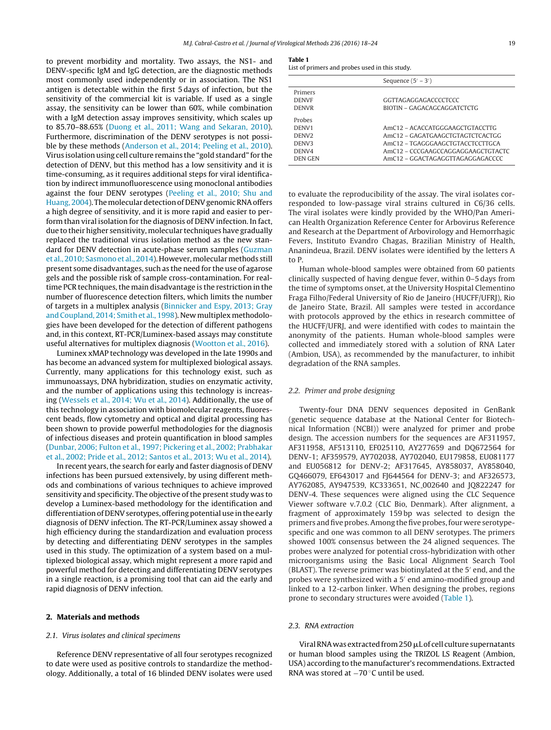<span id="page-1-0"></span>to prevent morbidity and mortality. Two assays, the NS1- and DENV-specific IgM and IgG detection, are the diagnostic methods most commonly used independently or in association. The NS1 antigen is detectable within the first 5 days of infection, but the sensitivity of the commercial kit is variable. If used as a single assay, the sensitivity can be lower than 60%, while combination with a IgM detection assay improves sensitivity, which scales up to 85.70–88.65% [\(Duong](#page-5-0) et [al.,](#page-5-0) [2011;](#page-5-0) [Wang](#page-5-0) [and](#page-5-0) [Sekaran,](#page-5-0) [2010\).](#page-5-0) Furthermore, discrimination of the DENV serotypes is not possible by these methods [\(Anderson](#page-5-0) et [al.,](#page-5-0) [2014;](#page-5-0) [Peeling](#page-5-0) et [al.,](#page-5-0) [2010\).](#page-5-0) Virus isolation using cell culture remains the "gold standard" for the detection of DENV, but this method has a low sensitivity and it is time-consuming, as it requires additional steps for viral identification by indirect immunofluorescence using monoclonal antibodies against the four DENV serotypes [\(Peeling](#page-6-0) et [al.,](#page-6-0) [2010;](#page-6-0) [Shu](#page-6-0) [and](#page-6-0) [Huang,](#page-6-0) [2004\).](#page-6-0) The molecular detection of DENV genomic RNA offers a high degree of sensitivity, and it is more rapid and easier to perform than viral isolation for the diagnosis of DENV infection. In fact, due to their higher sensitivity, molecular techniques have gradually replaced the traditional virus isolation method as the new standard for DENV detection in acute-phase serum samples [\(Guzman](#page-5-0) et al., 2010; [Sasmono](#page-5-0) et al., 2014). However, molecular methods still present some disadvantages, such as the need for the use of agarose gels and the possible risk of sample cross-contamination. For realtime PCR techniques, the main disadvantage is the restriction in the number of fluorescence detection filters, which limits the number of targets in a multiplex analysis ([Binnicker](#page-5-0) [and](#page-5-0) [Espy,](#page-5-0) [2013;](#page-5-0) [Gray](#page-5-0) [and](#page-5-0) [Coupland,](#page-5-0) [2014;](#page-5-0) [Smith](#page-5-0) et [al.,](#page-5-0) [1998\).](#page-5-0) New multiplex methodologies have been developed for the detection of different pathogens and, in this context, RT-PCR/Luminex-based assays may constitute useful alternatives for multiplex diagnosis [\(Wootton](#page-6-0) et [al.,](#page-6-0) [2016\).](#page-6-0)

Luminex xMAP technology was developed in the late 1990s and has become an advanced system for multiplexed biological assays. Currently, many applications for this technology exist, such as immunoassays, DNA hybridization, studies on enzymatic activity, and the number of applications using this technology is increasing [\(Wessels](#page-6-0) et [al.,](#page-6-0) [2014;](#page-6-0) [Wu](#page-6-0) et [al.,](#page-6-0) [2014\).](#page-6-0) Additionally, the use of this technology in association with biomolecular reagents, fluorescent beads, flow cytometry and optical and digital processing has been shown to provide powerful methodologies for the diagnosis of infectious diseases and protein quantification in blood samples ([Dunbar,](#page-5-0) [2006;](#page-5-0) [Fulton](#page-5-0) et [al.,](#page-5-0) [1997;](#page-5-0) [Pickering](#page-5-0) et [al.,](#page-5-0) [2002;](#page-5-0) [Prabhakar](#page-5-0) et [al.,](#page-5-0) [2002;](#page-5-0) [Pride](#page-5-0) et [al.,](#page-5-0) [2012;](#page-5-0) [Santos](#page-5-0) et [al.,](#page-5-0) [2013;](#page-5-0) [Wu](#page-5-0) et [al.,](#page-5-0) [2014\).](#page-5-0)

In recent years, the search for early and faster diagnosis of DENV infections has been pursued extensively, by using different methods and combinations of various techniques to achieve improved sensitivity and specificity. The objective of the present study was to develop a Luminex-based methodology for the identification and differentiation of DENV serotypes, offering potential use in the early diagnosis of DENV infection. The RT-PCR/Luminex assay showed a high efficiency during the standardization and evaluation process by detecting and differentiating DENV serotypes in the samples used in this study. The optimization of a system based on a multiplexed biological assay, which might represent a more rapid and powerful method for detecting and differentiating DENV serotypes in a single reaction, is a promising tool that can aid the early and rapid diagnosis of DENV infection.

# **2. Materials and methods**

# 2.1. Virus isolates and clinical specimens

Reference DENV representative of all four serotypes recognized to date were used as positive controls to standardize the methodology. Additionally, a total of 16 blinded DENV isolates were used

### **Table 1**

List of primers and probes used in this study.

| Sequence $(5' – 3')$               |  |  |  |  |
|------------------------------------|--|--|--|--|
|                                    |  |  |  |  |
| GGTTAGAGGAGACCCCTCCC               |  |  |  |  |
| BIOTIN – GAGACAGCAGGATCTCTG        |  |  |  |  |
|                                    |  |  |  |  |
| AmC12 - ACACCATGGGAAGCTGTACCTTG    |  |  |  |  |
| AmC12 – GAGATGAAGCTGTAGTCTCACTGG   |  |  |  |  |
| AmC12 - TGAGGGAAGCTGTACCTCCTTGCA   |  |  |  |  |
| AmC12 – CCCGAAGCCAGGAGGAAGCTGTACTC |  |  |  |  |
| AmC12 – GGACTAGAGGTTAGAGGAGACCCC   |  |  |  |  |
|                                    |  |  |  |  |

to evaluate the reproducibility of the assay. The viral isolates corresponded to low-passage viral strains cultured in C6/36 cells. The viral isolates were kindly provided by the WHO/Pan American Health Organization Reference Center for Arbovirus Reference and Research at the Department of Arbovirology and Hemorrhagic Fevers, Instituto Evandro Chagas, Brazilian Ministry of Health, Ananindeua, Brazil. DENV isolates were identified by the letters A to P.

Human whole-blood samples were obtained from 60 patients clinically suspected of having dengue fever, within 0–5 days from the time of symptoms onset, at the University Hospital Clementino Fraga Filho/Federal University of Rio de Janeiro (HUCFF/UFRJ), Rio de Janeiro State, Brazil. All samples were tested in accordance with protocols approved by the ethics in research committee of the HUCFF/UFRJ, and were identified with codes to maintain the anonymity of the patients. Human whole-blood samples were collected and immediately stored with a solution of RNA Later (Ambion, USA), as recommended by the manufacturer, to inhibit degradation of the RNA samples.

# 2.2. Primer and probe designing

Twenty-four DNA DENV sequences deposited in GenBank (genetic sequence database at the National Center for Biotechnical Information (NCBI)) were analyzed for primer and probe design. The accession numbers for the sequences are AF311957, AF311958, AF513110, EF025110, AY277659 and DQ672564 for DENV-1; AF359579, AY702038, AY702040, EU179858, EU081177 and EU056812 for DENV-2; AF317645, AY858037, AY858040, GQ466079, EF643017 and FJ644564 for DENV-3; and AF326573, AY762085, AY947539, KC333651, NC 002640 and JQ822247 for DENV-4. These sequences were aligned using the CLC Sequence Viewer software v.7.0.2 (CLC Bio, Denmark). After alignment, a fragment of approximately 159 bp was selected to design the primers and five probes. Among the five probes, four were serotypespecific and one was common to all DENV serotypes. The primers showed 100% consensus between the 24 aligned sequences. The probes were analyzed for potential cross-hybridization with other microorganisms using the Basic Local Alignment Search Tool (BLAST). The reverse primer was biotinylated at the 5' end, and the probes were synthesized with a 5' end amino-modified group and linked to a 12-carbon linker. When designing the probes, regions prone to secondary structures were avoided (Table 1).

## 2.3. RNA extraction

Viral RNA was extracted from 250 µL of cell culture supernatants or human blood samples using the TRIZOL LS Reagent (Ambion, USA) according to the manufacturer's recommendations. Extracted RNA was stored at −70 ◦C until be used.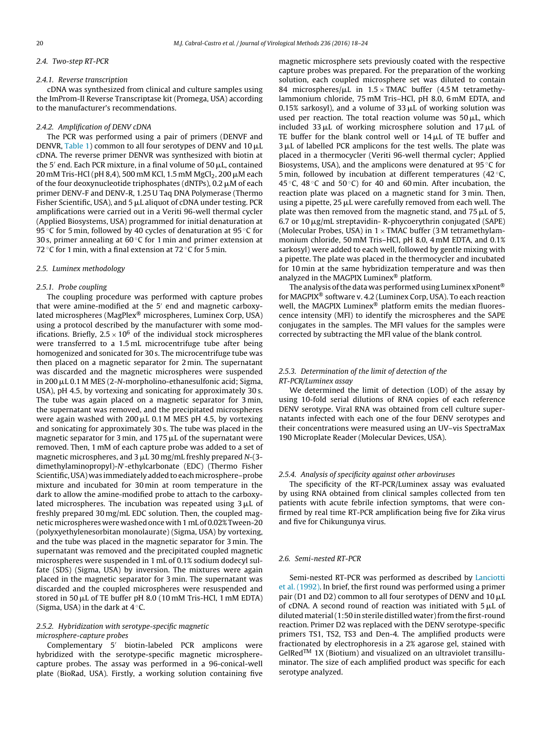#### 2.4. Two-step RT-PCR

#### 2.4.1. Reverse transcription

cDNA was synthesized from clinical and culture samples using the ImProm-II Reverse Transcriptase kit (Promega, USA) according to the manufacturer's recommendations.

## 2.4.2. Amplification of DENV cDNA

The PCR was performed using a pair of primers (DENVF and DENVR, [Table](#page-1-0) 1) common to all four serotypes of DENV and 10  $\mu$ L cDNA. The reverse primer DENVR was synthesized with biotin at the 5' end. Each PCR mixture, in a final volume of 50  $\mu$ L, contained 20 mM Tris-HCl (pH 8,4), 500 mM KCl, 1.5 mM MgCl $_2$ , 200  $\mu$ M each of the four deoxynucleotide triphosphates (dNTPs), 0.2  $\mu$ M of each primer DENV-F and DENV-R, 1.25 U Taq DNA Polymerase (Thermo Fisher Scientific, USA), and 5  $\rm \mu L$  aliquot of cDNA under testing. PCR amplifications were carried out in a Veriti 96-well thermal cycler (Applied Biosystems, USA) programmed for initial denaturation at 95 °C for 5 min, followed by 40 cycles of denaturation at 95 °C for 30 s, primer annealing at  $60^{\circ}$ C for 1 min and primer extension at 72 °C for 1 min, with a final extension at 72 °C for 5 min.

### 2.5. Luminex methodology

#### 2.5.1. Probe coupling

The coupling procedure was performed with capture probes that were amine-modified at the  $5'$  end and magnetic carboxylated microspheres (MagPlex® microspheres, Luminex Corp, USA) using a protocol described by the manufacturer with some modifications. Briefly,  $2.5 \times 10^6$  of the individual stock microspheres were transferred to a 1.5 mL microcentrifuge tube after being homogenized and sonicated for 30 s. The microcentrifuge tube was then placed on a magnetic separator for 2 min. The supernatant was discarded and the magnetic microspheres were suspended in 200 µL 0.1 M MES (2-N-morpholino-ethanesulfonic acid; Sigma, USA), pH 4.5, by vortexing and sonicating for approximately 30 s. The tube was again placed on a magnetic separator for 3 min, the supernatant was removed, and the precipitated microspheres were again washed with 200  $\mu$ L 0.1 M MES pH 4.5, by vortexing and sonicating for approximately 30 s. The tube was placed in the magnetic separator for 3 min, and 175  $\rm \mu L$  of the supernatant were removed. Then, 1 mM of each capture probe was added to a set of magnetic microspheres, and 3  $\rm \mu L$  30 mg/mL freshly prepared N-(3dimethylaminopropyl)-N -ethylcarbonate (EDC) (Thermo Fisher Scientific, USA) was immediately added to each microsphere-probe mixture and incubated for 30 min at room temperature in the dark to allow the amine-modified probe to attach to the carboxylated microspheres. The incubation was repeated using 3  $\rm \mu L$  of freshly prepared 30 mg/mL EDC solution. Then, the coupled magneticmicrospheres were washed once with1 mL of 0.02%Tween-20 (polyxyethylenesorbitan monolaurate) (Sigma, USA) by vortexing, and the tube was placed in the magnetic separator for 3 min. The supernatant was removed and the precipitated coupled magnetic microspheres were suspended in 1 mL of 0.1% sodium dodecyl sulfate (SDS) (Sigma, USA) by inversion. The mixtures were again placed in the magnetic separator for 3 min. The supernatant was discarded and the coupled microspheres were resuspended and stored in 50 µL of TE buffer pH 8.0 (10 mM Tris-HCl, 1 mM EDTA) (Sigma, USA) in the dark at  $4^\circ$ C.

# 2.5.2. Hybridization with serotype-specific magnetic microsphere-capture probes

Complementary 5<sup>'</sup> biotin-labeled PCR amplicons were hybridized with the serotype-specific magnetic microspherecapture probes. The assay was performed in a 96-conical-well plate (BioRad, USA). Firstly, a working solution containing five magnetic microsphere sets previously coated with the respective capture probes was prepared. For the preparation of the working solution, each coupled microsphere set was diluted to contain 84 microspheres/ $\mu$ L in 1.5 × TMAC buffer (4.5 M tetramethylammonium chloride, 75 mM Tris–HCl, pH 8.0, 6 mM EDTA, and 0.15% sarkosyl), and a volume of 33  $\mu$ L of working solution was used per reaction. The total reaction volume was  $50 \mu L$ , which included 33  $\mu$ L of working microsphere solution and 17  $\mu$ L of TE buffer for the blank control well or  $14\,\rm \upmu L$  of TE buffer and  $3\,\rm \mu L$  of labelled PCR amplicons for the test wells. The plate was placed in a thermocycler (Veriti 96-well thermal cycler; Applied Biosystems, USA), and the amplicons were denatured at 95 ◦C for 5 min, followed by incubation at different temperatures (42 $\degree$ C, 45 °C, 48 °C and 50 °C) for 40 and 60 min. After incubation, the reaction plate was placed on a magnetic stand for 3 min. Then, using a pipette, 25  $\mu$ L were carefully removed from each well. The plate was then removed from the magnetic stand, and 75  $\mu$ L of 5,  $6.7$  or 10  $\mu$ g/mL streptavidin- R-phycoerythrin conjugated (SAPE) (Molecular Probes, USA) in  $1 \times$  TMAC buffer (3 M tetramethylammonium chloride, 50 mM Tris–HCl, pH 8.0, 4 mM EDTA, and 0.1% sarkosyl) were added to each well, followed by gentle mixing with a pipette. The plate was placed in the thermocycler and incubated for 10 min at the same hybridization temperature and was then analyzed in the MAGPIX Luminex® platform.

The analysis of the data was performed using Luminex xPonent<sup>®</sup> for MAGPIX® software v. 4.2 (Luminex Corp, USA). To each reaction well, the MAGPIX Luminex® platform emits the median fluorescence intensity (MFI) to identify the microspheres and the SAPE conjugates in the samples. The MFI values for the samples were corrected by subtracting the MFI value of the blank control.

# 2.5.3. Determination of the limit of detection of the RT-PCR/Luminex assay

We determined the limit of detection (LOD) of the assay by using 10-fold serial dilutions of RNA copies of each reference DENV serotype. Viral RNA was obtained from cell culture supernatants infected with each one of the four DENV serotypes and their concentrations were measured using an UV–vis SpectraMax 190 Microplate Reader (Molecular Devices, USA).

# 2.5.4. Analysis of specificity against other arboviruses

The specificity of the RT-PCR/Luminex assay was evaluated by using RNA obtained from clinical samples collected from ten patients with acute febrile infection symptoms, that were confirmed by real time RT-PCR amplification being five for Zika virus and five for Chikungunya virus.

## 2.6. Semi-nested RT-PCR

Semi-nested RT-PCR was performed as described by [Lanciotti](#page-5-0) et [al.](#page-5-0) [\(1992\).](#page-5-0) In brief, the first round was performed using a primer pair (D1 and D2) common to all four serotypes of DENV and 10  $\mu$ L of cDNA. A second round of reaction was initiated with  $5 \mu L$  of diluted material (1:50 in sterile distilled water) from the first-round reaction. Primer D2 was replaced with the DENV serotype-specific primers TS1, TS2, TS3 and Den-4. The amplified products were fractionated by electrophoresis in a 2% agarose gel, stained with GelRed<sup>TM</sup> 1X (Biotium) and visualized on an ultraviolet transilluminator. The size of each amplified product was specific for each serotype analyzed.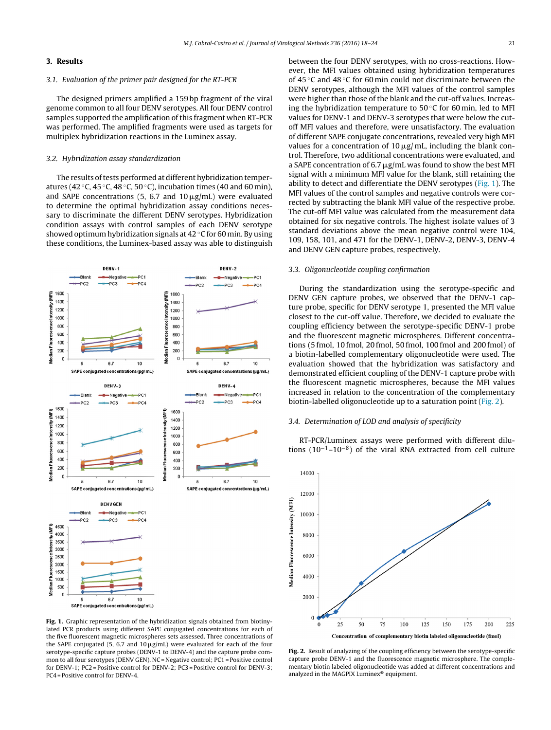# **3. Results**

# 3.1. Evaluation of the primer pair designed for the RT-PCR

The designed primers amplified a 159 bp fragment of the viral genome common to all four DENV serotypes. All four DENV control samples supported the amplification of this fragment when RT-PCR was performed. The amplified fragments were used as targets for multiplex hybridization reactions in the Luminex assay.

## 3.2. Hybridization assay standardization

The results of tests performed at different hybridization temperatures (42 °C, 45 °C, 48 °C, 50 °C), incubation times (40 and 60 min), and SAPE concentrations (5, 6.7 and  $10 \,\mathrm{\mu g/mL}$ ) were evaluated to determine the optimal hybridization assay conditions necessary to discriminate the different DENV serotypes. Hybridization condition assays with control samples of each DENV serotype showed optimum hybridization signals at 42 ◦C for 60 min. By using these conditions, the Luminex-based assay was able to distinguish



**Fig. 1.** Graphic representation of the hybridization signals obtained from biotinylated PCR products using different SAPE conjugated concentrations for each of the five fluorescent magnetic microspheres sets assessed. Three concentrations of the SAPE conjugated (5, 6.7 and 10  $\mu$ g/mL) were evaluated for each of the four serotype-specific capture probes (DENV-1 to DENV-4) and the capture probe common to all four serotypes (DENV GEN). NC = Negative control; PC1 = Positive control for DENV-1; PC2 = Positive control for DENV-2; PC3 = Positive control for DENV-3; PC4 = Positive control for DENV-4.

between the four DENV serotypes, with no cross-reactions. However, the MFI values obtained using hybridization temperatures of 45 ◦C and 48 ◦C for 60 min could not discriminate between the DENV serotypes, although the MFI values of the control samples were higher than those of the blank and the cut-off values. Increasing the hybridization temperature to  $50^{\circ}$ C for 60 min, led to MFI values for DENV-1 and DENV-3 serotypes that were below the cutoff MFI values and therefore, were unsatisfactory. The evaluation of different SAPE conjugate concentrations, revealed very high MFI values for a concentration of 10  $\mu$ g/mL, including the blank control. Therefore, two additional concentrations were evaluated, and a SAPE concentration of 6.7  $\mu$ g/mL was found to show the best MFI signal with a minimum MFI value for the blank, still retaining the ability to detect and differentiate the DENV serotypes (Fig. 1). The MFI values of the control samples and negative controls were corrected by subtracting the blank MFI value of the respective probe. The cut-off MFI value was calculated from the measurement data obtained for six negative controls. The highest isolate values of 3 standard deviations above the mean negative control were 104, 109, 158, 101, and 471 for the DENV-1, DENV-2, DENV-3, DENV-4 and DENV GEN capture probes, respectively.

## 3.3. Oligonucleotide coupling confirmation

During the standardization using the serotype-specific and DENV GEN capture probes, we observed that the DENV-1 capture probe, specific for DENV serotype 1, presented the MFI value closest to the cut-off value. Therefore, we decided to evaluate the coupling efficiency between the serotype-specific DENV-1 probe and the fluorescent magnetic microspheres. Different concentrations (5 fmol, 10 fmol, 20 fmol, 50 fmol, 100 fmol and 200 fmol) of a biotin-labelled complementary oligonucleotide were used. The evaluation showed that the hybridization was satisfactory and demonstrated efficient coupling of the DENV-1 capture probe with the fluorescent magnetic microspheres, because the MFI values increased in relation to the concentration of the complementary biotin-labelled oligonucleotide up to a saturation point (Fig. 2).

# 3.4. Determination of LOD and analysis of specificity

RT-PCR/Luminex assays were performed with different dilutions (10<sup>-1</sup>-10<sup>-8</sup>) of the viral RNA extracted from cell culture



**Fig. 2.** Result of analyzing of the coupling efficiency between the serotype-specific capture probe DENV-1 and the fluorescence magnetic microsphere. The complementary biotin labeled oligonucleotide was added at different concentrations and analyzed in the MAGPIX Luminex® equipment.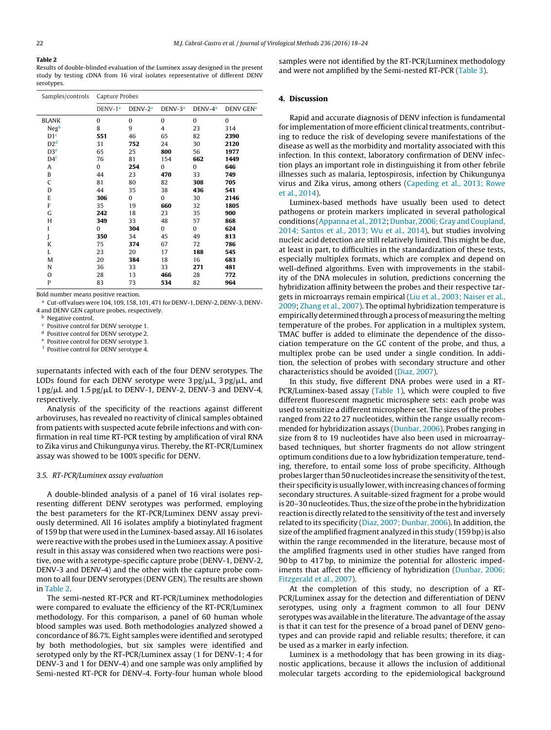**Table 2**

Results of double-blinded evaluation of the Luminex assay designed in the present study by testing cDNA from 16 viral isolates representative of different DENV serotypes.

| Samples/controls | Capture Probes      |           |                |                     |                  |  |  |
|------------------|---------------------|-----------|----------------|---------------------|------------------|--|--|
|                  | DENV-1 <sup>a</sup> | $DENV-2a$ | $DENV-3a$      | DENV-4 <sup>a</sup> | <b>DENV GENa</b> |  |  |
| <b>BLANK</b>     | $\Omega$            | $\Omega$  | $\Omega$       | $\Omega$            | $\Omega$         |  |  |
| Negb             | 8                   | 9         | $\overline{4}$ | 23                  | 314              |  |  |
| D1 <sup>c</sup>  | 551                 | 46        | 65             | 82                  | 2390             |  |  |
| D2 <sup>d</sup>  | 31                  | 752       | 24             | 30                  | 2120             |  |  |
| D3 <sup>e</sup>  | 65                  | 25        | 800            | 56                  | 1977             |  |  |
| D4 <sup>f</sup>  | 76                  | 81        | 154            | 662                 | 1449             |  |  |
| Α                | 0                   | 254       | $\mathbf{0}$   | 0                   | 646              |  |  |
| B                | 44                  | 23        | 470            | 33                  | 749              |  |  |
| C                | 81                  | 80        | 82             | 308                 | 705              |  |  |
| D                | 44                  | 35        | 38             | 436                 | 541              |  |  |
| E                | 306                 | 0         | 0              | 30                  | 2146             |  |  |
| F                | 35                  | 19        | 660            | 32                  | 1805             |  |  |
| G                | 242                 | 18        | 23             | 35                  | 900              |  |  |
| Н                | 349                 | 33        | 48             | 57                  | 868              |  |  |
| I                | $\Omega$            | 304       | $\Omega$       | $\Omega$            | 624              |  |  |
| J                | 350                 | 34        | 45             | 49                  | 813              |  |  |
| K                | 75                  | 374       | 67             | 72                  | 786              |  |  |
| L                | 23                  | 20        | 17             | 188                 | 545              |  |  |
| M                | 20                  | 384       | 18             | 16                  | 683              |  |  |
| N                | 36                  | 33        | 33             | 271                 | 481              |  |  |
| O                | 28                  | 13        | 466            | 28                  | 772              |  |  |
| P                | 83                  | 73        | 534            | 82                  | 964              |  |  |

Bold number means positive reaction.

<sup>a</sup> Cut-off values were 104, 109, 158, 101, 471 for DENV-1, DENV-2, DENV-3, DENV-4 and DENV GEN capture probes, respectively.

**b** Negative control.

<sup>c</sup> Positive control for DENV serotype 1.

<sup>d</sup> Positive control for DENV serotype 2.

Positive control for DENV serotype 3.

<sup>f</sup> Positive control for DENV serotype 4.

supernatants infected with each of the four DENV serotypes. The LODs found for each DENV serotype were 3 pg/ $\mu$ L, 3 pg/ $\mu$ L, and  $1 \text{ pg/}\mu$ L and  $1.5 \text{ pg/}\mu$ L to DENV-1, DENV-2, DENV-3 and DENV-4, respectively.

Analysis of the specificity of the reactions against different arboviruses, has revealed no reactivity of clinical samples obtained from patients with suspected acute febrile infections and with confirmation in real time RT-PCR testing by amplification of viral RNA to Zika virus and Chikungunya virus. Thereby, the RT-PCR/Luminex assay was showed to be 100% specific for DENV.

#### 3.5. RT-PCR/Luminex assay evaluation

A double-blinded analysis of a panel of 16 viral isolates representing different DENV serotypes was performed, employing the best parameters for the RT-PCR/Luminex DENV assay previously determined. All 16 isolates amplify a biotinylated fragment of 159 bp that were used in the Luminex-based assay. All 16 isolates were reactive with the probes used in the Luminex assay. A positive result in this assay was considered when two reactions were positive, one with a serotype-specific capture probe (DENV-1, DENV-2, DENV-3 and DENV-4) and the other with the capture probe common to all four DENV serotypes (DENV GEN). The results are shown in Table 2.

The semi-nested RT-PCR and RT-PCR/Luminex methodologies were compared to evaluate the efficiency of the RT-PCR/Luminex methodology. For this comparison, a panel of 60 human whole blood samples was used. Both methodologies analyzed showed a concordance of 86.7%. Eight samples were identified and serotyped by both methodologies, but six samples were identified and serotyped only by the RT-PCR/Luminex assay (1 for DENV-1; 4 for DENV-3 and 1 for DENV-4) and one sample was only amplified by Semi-nested RT-PCR for DENV-4. Forty-four human whole blood

samples were not identified by the RT-PCR/Luminex methodology and were not amplified by the Semi-nested RT-PCR [\(Table](#page-5-0) 3).

# **4. Discussion**

Rapid and accurate diagnosis of DENV infection is fundamental for implementation of more efficient clinical treatments, contributing to reduce the risk of developing severe manifestations of the disease as well as the morbidity and mortality associated with this infection. In this context, laboratory confirmation of DENV infection plays an important role in distinguishing it from other febrile illnesses such as malaria, leptospirosis, infection by Chikungunya virus and Zika virus, among others ([Capeding](#page-5-0) et [al.,](#page-5-0) [2013;](#page-5-0) [Rowe](#page-5-0) et [al.,](#page-5-0) [2014\).](#page-5-0)

Luminex-based methods have usually been used to detect pathogens or protein markers implicated in several pathological conditions ([Appanna](#page-5-0) et [al.,](#page-5-0) [2012;](#page-5-0) [Dunbar,](#page-5-0) [2006;](#page-5-0) [Gray](#page-5-0) and Coupland, [2014;](#page-5-0) [Santos](#page-5-0) et [al.,](#page-5-0) [2013;](#page-5-0) [Wu](#page-5-0) et [al.,](#page-5-0) [2014\),](#page-5-0) but studies involving nucleic acid detection are still relatively limited. This might be due, at least in part, to difficulties in the standardization of these tests, especially multiplex formats, which are complex and depend on well-defined algorithms. Even with improvements in the stability of the DNA molecules in solution, predictions concerning the hybridization affinity between the probes and their respective targets in microarrays remain empirical ([Liu](#page-5-0) et [al.,](#page-5-0) [2003;](#page-5-0) [Naiser](#page-5-0) et [al.,](#page-5-0) [2009;](#page-5-0) [Zhang](#page-6-0) et [al.,](#page-6-0) [2007\).](#page-6-0) The optimal hybridization temperature is empirically determined through a process of measuring the melting temperature of the probes. For application in a multiplex system, TMAC buffer is added to eliminate the dependence of the dissociation temperature on the GC content of the probe, and thus, a multiplex probe can be used under a single condition. In addition, the selection of probes with secondary structure and other characteristics should be avoided [\(Diaz,](#page-5-0) [2007\).](#page-5-0)

In this study, five different DNA probes were used in a RT-PCR/Luminex-based assay ([Table](#page-1-0) 1), which were coupled to five different fluorescent magnetic microsphere sets: each probe was used to sensitize a different microsphere set. The sizes of the probes ranged from 22 to 27 nucleotides, within the range usually recommended for hybridization assays [\(Dunbar,](#page-5-0) [2006\).](#page-5-0) Probes ranging in size from 8 to 19 nucleotides have also been used in microarraybased techniques, but shorter fragments do not allow stringent optimum conditions due to a low hybridization temperature, tending, therefore, to entail some loss of probe specificity. Although probes larger than 50 nucleotides increase the sensitivity of the test, their specificity is usually lower, with increasing chances offorming secondary structures. A suitable-sized fragment for a probe would is 20-30 nucleotides. Thus, the size of the probe in the hybridization reaction is directly related to the sensitivity of the test and inversely related to its specificity ([Diaz,](#page-5-0) [2007;](#page-5-0) [Dunbar,](#page-5-0) [2006\).](#page-5-0) In addition, the size of the amplified fragment analyzed in this study  $(159$  bp) is also within the range recommended in the literature, because most of the amplified fragments used in other studies have ranged from 90 bp to 417 bp, to minimize the potential for allosteric impediments that affect the efficiency of hybridization [\(Dunbar,](#page-5-0) [2006;](#page-5-0) [Fitzgerald](#page-5-0) et [al.,](#page-5-0) [2007\).](#page-5-0)

At the completion of this study, no description of a RT-PCR/Luminex assay for the detection and differentiation of DENV serotypes, using only a fragment common to all four DENV serotypes was available in the literature. The advantage of the assay is that it can test for the presence of a broad panel of DENV genotypes and can provide rapid and reliable results; therefore, it can be used as a marker in early infection.

Luminex is a methodology that has been growing in its diagnostic applications, because it allows the inclusion of additional molecular targets according to the epidemiological background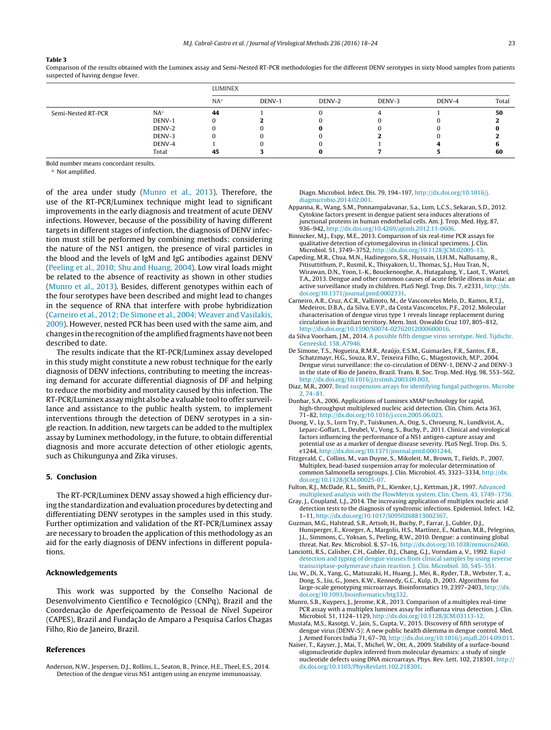### <span id="page-5-0"></span>**Table 3**

Comparison of the results obtained with the Luminex assay and Semi-Nested RT-PCR methodologies for the different DENV serotypes in sixty blood samples from patients suspected of having dengue fever.

|                    |                 | LUMINEX         |        |        |        |        |       |  |  |
|--------------------|-----------------|-----------------|--------|--------|--------|--------|-------|--|--|
|                    |                 | NA <sup>a</sup> | DENV-1 | DENV-2 | DENV-3 | DENV-4 | Total |  |  |
| Semi-Nested RT-PCR | NA <sup>a</sup> | 44              |        |        |        |        | 50    |  |  |
|                    | DENV-1          | $\theta$        |        |        |        |        |       |  |  |
|                    | DENV-2          | $_{0}$          |        |        |        |        |       |  |  |
|                    | DENV-3          | 0               |        |        |        |        |       |  |  |
|                    | DENV-4          |                 |        |        |        |        |       |  |  |
|                    | Total           | 45              |        |        |        |        | 60    |  |  |

Bold number means concordant results.

<sup>a</sup> Not amplified.

of the area under study (Munro et al., 2013). Therefore, the use of the RT-PCR/Luminex technique might lead to significant improvements in the early diagnosis and treatment of acute DENV infections. However, because of the possibility of having different targets in different stages of infection, the diagnosis of DENV infection must still be performed by combining methods: considering the nature of the NS1 antigen, the presence of viral particles in the blood and the levels of IgM and IgG antibodies against DENV ([Peeling](#page-6-0) et [al.,](#page-6-0) [2010;](#page-6-0) [Shu](#page-6-0) [and](#page-6-0) [Huang,](#page-6-0) [2004\).](#page-6-0) Low viral loads might be related to the absence of reactivity as shown in other studies (Munro et al., 2013). Besides, different genotypes within each of the four serotypes have been described and might lead to changes in the sequence of RNA that interfere with probe hybridization (Carneiro et al., 2012; De Simone et al., 2004; Weaver and Vasilakis, 2009). However, nested PCR has been used with the same aim, and changes inthe recognitionofthe amplified fragmentshavenot been described to date.

The results indicate that the RT-PCR/Luminex assay developed in this study might constitute a new robust technique for the early diagnosis of DENV infections, contributing to meeting the increasing demand for accurate differential diagnosis of DF and helping to reduce the morbidity and mortality caused by this infection. The RT-PCR/Luminex assay might also be a valuable tool to offer surveillance and assistance to the public health system, to implement interventions through the detection of DENV serotypes in a single reaction. In addition, new targets can be added to the multiplex assay by Luminex methodology, in the future, to obtain differential diagnosis and more accurate detection of other etiologic agents, such as Chikungunya and Zika viruses.

# **5. Conclusion**

The RT-PCR/Luminex DENV assay showed a high efficiency during the standardization and evaluation procedures by detecting and differentiating DENV serotypes in the samples used in this study. Further optimization and validation of the RT-PCR/Luminex assay are necessary to broaden the application of this methodology as an aid for the early diagnosis of DENV infections in different populations.

## **Acknowledgements**

This work was supported by the Conselho Nacional de Desenvolvimento Científico e Tecnológico (CNPq), Brazil and the Coordenação de Aperfeiçoamento de Pessoal de Nível Supeiror (CAPES), Brazil and Fundação de Amparo a Pesquisa Carlos Chagas Filho, Rio de Janeiro, Brazil.

## **References**

Anderson, N.W., Jespersen, D.J., Rollins, L., Seaton, B., Prince, H.E., Theel, E.S., 2014. Detection of the dengue virus NS1 antigen using an enzyme immunoassay.

Diagn. Microbiol. Infect. Dis. 79, 194–197, [http://dx.doi.org/10.1016/j.](dx.doi.org/10.1016/j.diagmicrobio.2014.02.001) [diagmicrobio.2014.02.001.](dx.doi.org/10.1016/j.diagmicrobio.2014.02.001)

- Appanna, R., Wang, S.M., Ponnampalavanar, S.a., Lum, L.C.S., Sekaran, S.D., 2012. Cytokine factors present in dengue patient sera induces alterations of junctional proteins in human endothelial cells. Am. J. Trop. Med. Hyg. 87, 936–942, [http://dx.doi.org/10.4269/ajtmh.2012.11-0606](dx.doi.org/10.4269/ajtmh.2012.11-0606).
- Binnicker, M.J., Espy, M.E., 2013. Comparison of six real-time PCR assays for qualitative detection of cytomegalovirus in clinical specimens. J. Clin. Microbiol. 51, 3749–3752, [http://dx.doi.org/10.1128/JCM.02005-13](dx.doi.org/10.1128/JCM.02005-13).
- Capeding, M.R., Chua, M.N., Hadinegoro, S.R., Hussain, I.I.H.M., Nallusamy, R., Pitisuttithum, P., Rusmil, K., Thisyakorn, U., Thomas, S.J., Huu Tran, N., Wirawan, D.N., Yoon, I.-K., Bouckenooghe, A., Hutagalung, Y., Laot, T., Wartel, T.A., 2013. Dengue and other common causes of acute febrile illness in Asia: an active surveillance study in children. PLoS Negl. Trop. Dis. 7, e2331, [http://dx.](dx.doi.org/10.1371/journal.pntd.0002331) [doi.org/10.1371/journal.pntd.0002331](dx.doi.org/10.1371/journal.pntd.0002331).
- Carneiro, A.R., Cruz, A.C.R., Vallinoto, M., de Vasconcelos Melo, D., Ramos, R.T.J., Medeiros, D.B.A., da Silva, E.V.P., da Costa Vasconcelos, P.F., 2012. Molecular characterisation of dengue virus type 1 reveals lineage replacement during circulation in Brazilian territory. Mem. Inst. Oswaldo Cruz 107, 805–812, [http://dx.doi.org/10.1590/S0074-02762012000600016.](dx.doi.org/10.1590/S0074-02762012000600016)
- da Silva Voorham, J.M., 2014. [A](http://refhub.elsevier.com/S0166-0934(15)30100-2/sbref0030) [possible](http://refhub.elsevier.com/S0166-0934(15)30100-2/sbref0030) [fifth](http://refhub.elsevier.com/S0166-0934(15)30100-2/sbref0030) [dengue](http://refhub.elsevier.com/S0166-0934(15)30100-2/sbref0030) [virus](http://refhub.elsevier.com/S0166-0934(15)30100-2/sbref0030) [serotype.](http://refhub.elsevier.com/S0166-0934(15)30100-2/sbref0030) [Ned.](http://refhub.elsevier.com/S0166-0934(15)30100-2/sbref0030) [Tijdschr.](http://refhub.elsevier.com/S0166-0934(15)30100-2/sbref0030) [Geneeskd.](http://refhub.elsevier.com/S0166-0934(15)30100-2/sbref0030) [158,](http://refhub.elsevier.com/S0166-0934(15)30100-2/sbref0030) [A7946.](http://refhub.elsevier.com/S0166-0934(15)30100-2/sbref0030)
- De Simone, T.S., Nogueira, R.M.R., Araújo, E.S.M., Guimarães, F.R., Santos, F.B., Schatzmayr, H.G., Souza, R.V., Teixeira Filho, G., Miagostovich, M.P., 2004. Dengue virus surveillance: the co-circulation of DENV-1, DENV-2 and DENV-3 in the state of Rio de Janeiro, Brazil. Trans. R. Soc. Trop. Med. Hyg. 98, 553–562, [http://dx.doi.org/10.1016/j.trstmh.2003.09.003](dx.doi.org/10.1016/j.trstmh.2003.09.003).
- Diaz, M.R., 2007. [Bead](http://refhub.elsevier.com/S0166-0934(15)30100-2/sbref0040) [suspension](http://refhub.elsevier.com/S0166-0934(15)30100-2/sbref0040) [arrays](http://refhub.elsevier.com/S0166-0934(15)30100-2/sbref0040) [for](http://refhub.elsevier.com/S0166-0934(15)30100-2/sbref0040) [identifying](http://refhub.elsevier.com/S0166-0934(15)30100-2/sbref0040) [fungal](http://refhub.elsevier.com/S0166-0934(15)30100-2/sbref0040) [pathogens.](http://refhub.elsevier.com/S0166-0934(15)30100-2/sbref0040) [Microbe](http://refhub.elsevier.com/S0166-0934(15)30100-2/sbref0040) [2,](http://refhub.elsevier.com/S0166-0934(15)30100-2/sbref0040) [74–81.](http://refhub.elsevier.com/S0166-0934(15)30100-2/sbref0040)
- Dunbar, S.A., 2006. Applications of Luminex xMAP technology for rapid, high-throughput multiplexed nucleic acid detection. Clin. Chim. Acta 363, 71–82, [http://dx.doi.org/10.1016/j.cccn.2005.06.023.](dx.doi.org/10.1016/j.cccn.2005.06.023)
- Duong, V., Ly, S., Lorn Try, P., Tuiskunen, A., Ong, S., Chroeung, N., Lundkvist, A., Leparc-Goffart, I., Deubel, V., Vong, S., Buchy, P., 2011. Clinical and virological factors influencing the performance of a NS1 antigen-capture assay and potential use as a marker of dengue disease severity. PLoS Negl. Trop. Dis. 5,
- e1244, [http://dx.doi.org/10.1371/journal.pntd.0001244](dx.doi.org/10.1371/journal.pntd.0001244). Fitzgerald, C., Collins, M., van Duyne, S., Mikoleit, M., Brown, T., Fields, P., 2007. Multiplex, bead-based suspension array for molecular determination of common Salmonella serogroups. J. Clin. Microbiol. 45, 3323–3334, [http://dx.](dx.doi.org/10.1128/JCM.00025-07) [doi.org/10.1128/JCM.00025-07](dx.doi.org/10.1128/JCM.00025-07).
- Fulton, R.J., McDade, R.L., Smith, P.L., Kienker, L.J., Kettman, J.R., 1997. [Advanced](http://refhub.elsevier.com/S0166-0934(15)30100-2/sbref0060) [multiplexed](http://refhub.elsevier.com/S0166-0934(15)30100-2/sbref0060) [analysis](http://refhub.elsevier.com/S0166-0934(15)30100-2/sbref0060) [with](http://refhub.elsevier.com/S0166-0934(15)30100-2/sbref0060) [the](http://refhub.elsevier.com/S0166-0934(15)30100-2/sbref0060) [FlowMetrix](http://refhub.elsevier.com/S0166-0934(15)30100-2/sbref0060) [system.](http://refhub.elsevier.com/S0166-0934(15)30100-2/sbref0060) [Clin.](http://refhub.elsevier.com/S0166-0934(15)30100-2/sbref0060) [Chem.](http://refhub.elsevier.com/S0166-0934(15)30100-2/sbref0060) [43,](http://refhub.elsevier.com/S0166-0934(15)30100-2/sbref0060) [1749–1756.](http://refhub.elsevier.com/S0166-0934(15)30100-2/sbref0060)
- Gray, J., Coupland, L.J., 2014. The increasing application of multiplex nucleic acid detection tests to the diagnosis of syndromic infections. Epidemiol. Infect. 142, 1–11, [http://dx.doi.org/10.1017/S0950268813002367](dx.doi.org/10.1017/S0950268813002367).
- Guzman, M.G., Halstead, S.B., Artsob, H., Buchy, P., Farrar, J., Gubler, D.J., Hunsperger, E., Kroeger, A., Margolis, H.S., Martínez, E., Nathan, M.B., Pelegrino, J.L., Simmons, C., Yoksan, S., Peeling, R.W., 2010. Dengue: a continuing global
- threat. Nat. Rev. Microbiol. 8, S7–16, [http://dx.doi.org/10.1038/nrmicro2460.](dx.doi.org/10.1038/nrmicro2460) Lanciotti, R.S., Calisher, C.H., Gubler, D.J., Chang, G.J., Vorndam a, V., 1992. [Rapid](http://refhub.elsevier.com/S0166-0934(15)30100-2/sbref0075) [detection](http://refhub.elsevier.com/S0166-0934(15)30100-2/sbref0075) [and](http://refhub.elsevier.com/S0166-0934(15)30100-2/sbref0075) [typing](http://refhub.elsevier.com/S0166-0934(15)30100-2/sbref0075) [of](http://refhub.elsevier.com/S0166-0934(15)30100-2/sbref0075) [dengue](http://refhub.elsevier.com/S0166-0934(15)30100-2/sbref0075) [viruses](http://refhub.elsevier.com/S0166-0934(15)30100-2/sbref0075) [from](http://refhub.elsevier.com/S0166-0934(15)30100-2/sbref0075) [clinical](http://refhub.elsevier.com/S0166-0934(15)30100-2/sbref0075) [samples](http://refhub.elsevier.com/S0166-0934(15)30100-2/sbref0075) [by](http://refhub.elsevier.com/S0166-0934(15)30100-2/sbref0075) [using](http://refhub.elsevier.com/S0166-0934(15)30100-2/sbref0075) [reverse](http://refhub.elsevier.com/S0166-0934(15)30100-2/sbref0075) [transcriptase-polymerase](http://refhub.elsevier.com/S0166-0934(15)30100-2/sbref0075) [chain](http://refhub.elsevier.com/S0166-0934(15)30100-2/sbref0075) [reaction.](http://refhub.elsevier.com/S0166-0934(15)30100-2/sbref0075) [J.](http://refhub.elsevier.com/S0166-0934(15)30100-2/sbref0075) [Clin.](http://refhub.elsevier.com/S0166-0934(15)30100-2/sbref0075) [Microbiol.](http://refhub.elsevier.com/S0166-0934(15)30100-2/sbref0075) [30,](http://refhub.elsevier.com/S0166-0934(15)30100-2/sbref0075) [545–551.](http://refhub.elsevier.com/S0166-0934(15)30100-2/sbref0075)
- Liu, W., Di, X., Yang, G., Matsuzaki, H., Huang, J., Mei, R., Ryder, T.B., Webster, T. a., Dong, S., Liu, G., Jones, K.W., Kennedy, G.C., Kulp, D., 2003. Algorithms for large-scale genotyping microarrays. Bioinformatics 19, 2397–2403, [http://dx.](dx.doi.org/10.1093/bioinformatics/btg332) [doi.org/10.1093/bioinformatics/btg332.](dx.doi.org/10.1093/bioinformatics/btg332)
- Munro, S.B., Kuypers, J., Jerome, K.R., 2013. Comparison of a multiplex real-time PCR assay with a multiplex luminex assay for influenza virus detection. J. Clin. Microbiol. 51, 1124–1129, [http://dx.doi.org/10.1128/JCM.03113-12](dx.doi.org/10.1128/JCM.03113-12).
- Mustafa, M.S., Rasotgi, V., Jain, S., Gupta, V., 2015. Discovery of fifth serotype of dengue virus (DENV-5): A new public health dilemma in dengue control. Med. J. Armed Forces India 71, 67–70, [http://dx.doi.org/10.1016/j.mjafi.2014.09.011](dx.doi.org/10.1016/j.mjafi.2014.09.011).
- Naiser, T., Kayser, J., Mai, T., Michel, W., Ott, A., 2009. Stability of a surface-bound oligonucleotide duplex inferred from molecular dynamics: a study of single nucleotide defects using DNA microarrays. Phys. Rev. Lett. 102, 218301, [http://](dx.doi.org/10.1103/PhysRevLett.102.218301) [dx.doi.org/10.1103/PhysRevLett.102.218301.](dx.doi.org/10.1103/PhysRevLett.102.218301)